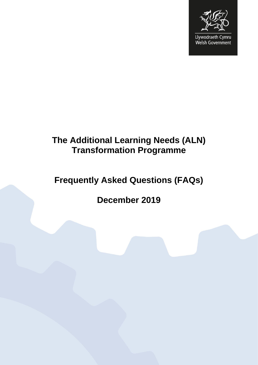

Llywodraeth Cymru<br>Welsh Government

# **The Additional Learning Needs (ALN) Transformation Programme**

# **Frequently Asked Questions (FAQs)**

**December 2019**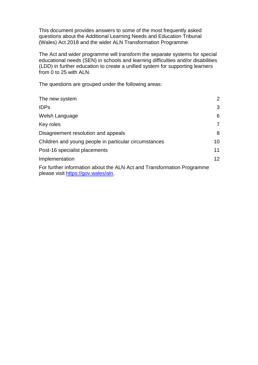This document provides answers to some of the most frequently asked questions about the Additional Learning Needs and Education Tribunal (Wales) Act 2018 and the wider ALN Transformation Programme.

The Act and wider programme will transform the separate systems for special educational needs (SEN) in schools and learning difficulties and/or disabilities (LDD) in further education to create a unified system for supporting learners from 0 to 25 with ALN.

The questions are grouped under the following areas:

| The new system                                                                                                | 2                 |
|---------------------------------------------------------------------------------------------------------------|-------------------|
| <b>IDPs</b>                                                                                                   | 3                 |
| Welsh Language                                                                                                | 6                 |
| Key roles                                                                                                     | 7                 |
| Disagreement resolution and appeals                                                                           | 8                 |
| Children and young people in particular circumstances                                                         | 10                |
| Post-16 specialist placements                                                                                 | 11                |
| Implementation                                                                                                | $12 \overline{ }$ |
| For further information about the ALN Act and Transformation Programme<br>please visit https://gov.wales/aln. |                   |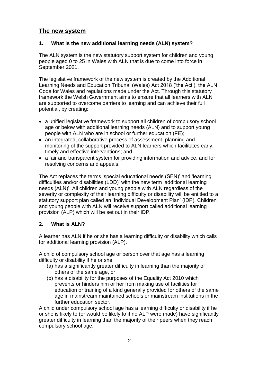## <span id="page-2-0"></span>**The new system**

## **1. What is the new additional learning needs (ALN) system?**

The ALN system is the new statutory support system for children and young people aged 0 to 25 in Wales with ALN that is due to come into force in September 2021.

The legislative framework of the new system is created by the Additional Learning Needs and Education Tribunal (Wales) Act 2018 ('the Act'), the ALN Code for Wales and regulations made under the Act. Through this statutory framework the Welsh Government aims to ensure that all learners with ALN are supported to overcome barriers to learning and can achieve their full potential, by creating:

- a unified legislative framework to support all children of compulsory school age or below with additional learning needs (ALN) and to support young people with ALN who are in school or further education (FE);
- an integrated, collaborative process of assessment, planning and monitoring of the support provided to ALN learners which facilitates early, timely and effective interventions; and
- a fair and transparent system for providing information and advice, and for resolving concerns and appeals.

The Act replaces the terms 'special educational needs (SEN)' and 'learning difficulties and/or disabilities (LDD)' with the new term 'additional learning needs (ALN)'. All children and young people with ALN regardless of the severity or complexity of their learning difficulty or disability will be entitled to a statutory support plan called an 'Individual Development Plan' (IDP). Children and young people with ALN will receive support called additional learning provision (ALP) which will be set out in their IDP.

## **2. What is ALN?**

A learner has ALN if he or she has a learning difficulty or disability which calls for additional learning provision (ALP).

A child of compulsory school age or person over that age has a learning difficulty or disability if he or she:

- (a) has a significantly greater difficulty in learning than the majority of others of the same age, or
- (b) has a disability for the purposes of the Equality Act 2010 which prevents or hinders him or her from making use of facilities for education or training of a kind generally provided for others of the same age in mainstream maintained schools or mainstream institutions in the further education sector.

A child under compulsory school age has a learning difficulty or disability if he or she is likely to (or would be likely to if no ALP were made) have significantly greater difficulty in learning than the majority of their peers when they reach compulsory school age.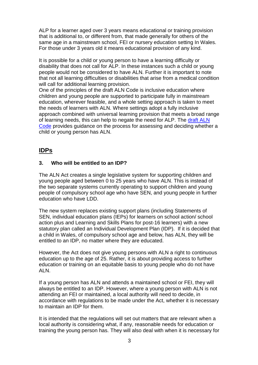ALP for a learner aged over 3 years means educational or training provision that is additional to, or different from, that made generally for others of the same age in a mainstream school, FEI or nursery education setting In Wales. For those under 3 years old it means educational provision of any kind.

It is possible for a child or young person to have a learning difficulty or disability that does not call for ALP. In these instances such a child or young people would not be considered to have ALN. Further it is important to note that not all learning difficulties or disabilities that arise from a medical condition will call for additional learning provision.

One of the principles of the draft ALN Code is inclusive education where children and young people are supported to participate fully in mainstream education, wherever feasible, and a whole setting approach is taken to meet the needs of learners with ALN. Where settings adopt a fully inclusive approach combined with universal learning provision that meets a broad range of learning needs, this can help to negate the need for ALP. The [draft ALN](https://gov.wales/sites/default/files/consultations/2018-12/draft-additional-learning-needs-code-for-wales_0.pdf)  [Code](https://gov.wales/sites/default/files/consultations/2018-12/draft-additional-learning-needs-code-for-wales_0.pdf) provides guidance on the process for assessing and deciding whether a child or young person has ALN.

# <span id="page-3-0"></span>**IDPs**

## **3. Who will be entitled to an IDP?**

The ALN Act creates a single legislative system for supporting children and young people aged between 0 to 25 years who have ALN. This is instead of the two separate systems currently operating to support children and young people of compulsory school age who have SEN, and young people in further education who have LDD.

The new system replaces existing support plans (including Statements of SEN, individual education plans (IEPs) for learners on school action/ school action plus and Learning and Skills Plans for post-16 learners) with a new statutory plan called an Individual Development Plan (IDP). If it is decided that a child in Wales, of compulsory school age and below, has ALN, they will be entitled to an IDP, no matter where they are educated.

However, the Act does not give young persons with ALN a right to continuous education up to the age of 25. Rather, it is about providing access to further education or training on an equitable basis to young people who do not have ALN.

If a young person has ALN and attends a maintained school or FEI, they will always be entitled to an IDP. However, where a young person with ALN is not attending an FEI or maintained, a local authority will need to decide, in accordance with regulations to be made under the Act, whether it is necessary to maintain an IDP for them.

It is intended that the regulations will set out matters that are relevant when a local authority is considering what, if any, reasonable needs for education or training the young person has. They will also deal with when it is necessary for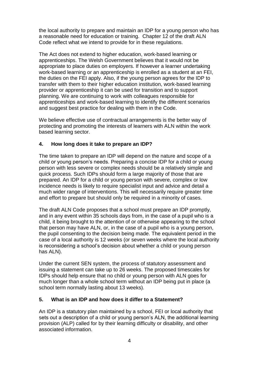the local authority to prepare and maintain an IDP for a young person who has a reasonable need for education or training. Chapter 12 of the draft ALN Code reflect what we intend to provide for in these regulations.

The Act does not extend to higher education, work-based learning or apprenticeships. The Welsh Government believes that it would not be appropriate to place duties on employers. If however a learner undertaking work-based learning or an apprenticeship is enrolled as a student at an FEI, the duties on the FEI apply. Also, if the young person agrees for the IDP to transfer with them to their higher education institution, work-based learning provider or apprenticeship it can be used for transition and to support planning. We are continuing to work with colleagues responsible for apprenticeships and work-based learning to identify the different scenarios and suggest best practice for dealing with them in the Code.

We believe effective use of contractual arrangements is the better way of protecting and promoting the interests of learners with ALN within the work based learning sector.

## **4. How long does it take to prepare an IDP?**

The time taken to prepare an IDP will depend on the nature and scope of a child or young person's needs. Preparing a concise IDP for a child or young person with less severe or complex needs should be a relatively simple and quick process. Such IDPs should form a large majority of those that are prepared. An IDP for a child or young person with severe, complex or low incidence needs is likely to require specialist input and advice and detail a much wider range of interventions. This will necessarily require greater time and effort to prepare but should only be required in a minority of cases.

The draft ALN Code proposes that a school must prepare an IDP promptly, and in any event within 35 schools days from, in the case of a pupil who is a child, it being brought to the attention of or otherwise appearing to the school that person may have ALN, or, in the case of a pupil who is a young person, the pupil consenting to the decision being made. The equivalent period in the case of a local authority is 12 weeks (or seven weeks where the local authority is reconsidering a school's decision about whether a child or young person has ALN).

Under the current SEN system, the process of statutory assessment and issuing a statement can take up to 26 weeks. The proposed timescales for IDPs should help ensure that no child or young person with ALN goes for much longer than a whole school term without an IDP being put in place (a school term normally lasting about 13 weeks).

## **5. What is an IDP and how does it differ to a Statement?**

An IDP is a statutory plan maintained by a school, FEI or local authority that sets out a description of a child or young person's ALN, the additional learning provision (ALP) called for by their learning difficulty or disability, and other associated information.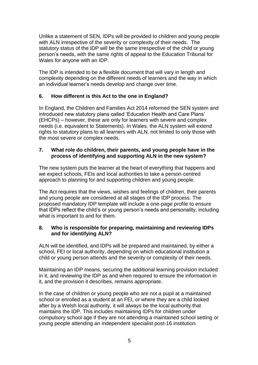Unlike a statement of SEN, IDPs will be provided to children and young people with ALN irrespective of the severity or complexity of their needs. The statutory status of the IDP will be the same irrespective of the child or young person's needs, with the same rights of appeal to the Education Tribunal for Wales for anyone with an IDP.

The IDP is intended to be a flexible document that will vary in length and complexity depending on the different needs of learners and the way in which an individual learner's needs develop and change over time.

## **6. How different is this Act to the one in England?**

In England, the Children and Families Act 2014 reformed the SEN system and introduced new statutory plans called 'Education Health and Care Plans' (EHCPs) – however, these are only for learners with severe and complex needs (i.e. equivalent to Statements). In Wales, the ALN system will extend rights to statutory plans to all learners with ALN, not limited to only those with the most severe or complex needs.

#### **7. What role do children, their parents, and young people have in the process of identifying and supporting ALN in the new system?**

The new system puts the learner at the heart of everything that happens and we expect schools, FEIs and local authorities to take a person-centred approach to planning for and supporting children and young people.

The Act requires that the views, wishes and feelings of children, their parents and young people are considered at all stages of the IDP process. The proposed mandatory IDP template will include a one-page profile to ensure that IDPs reflect the child's or young person's needs and personality, including what is important to and for them.

## **8. Who is responsible for preparing, maintaining and reviewing IDPs and for identifying ALN?**

ALN will be identified, and IDPs will be prepared and maintained, by either a school, FEI or local authority, depending on which educational institution a child or young person attends and the severity or complexity of their needs.

Maintaining an IDP means, securing the additional learning provision included in it, and reviewing the IDP as and when required to ensure the information in it, and the provision it describes, remains appropriate.

In the case of children or young people who are not a pupil at a maintained school or enrolled as a student at an FEI, or where they are a child looked after by a Welsh local authority, it will always be the local authority that maintains the IDP. This includes maintaining IDPs for children under compulsory school age if they are not attending a maintained school setting or young people attending an independent specialist post-16 institution.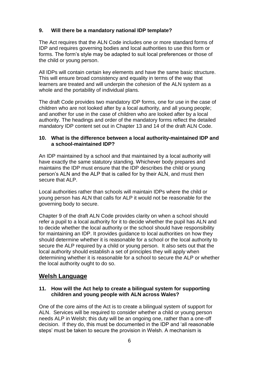## **9. Will there be a mandatory national IDP template?**

The Act requires that the ALN Code includes one or more standard forms of IDP and requires governing bodies and local authorities to use this form or forms. The form's style may be adapted to suit local preferences or those of the child or young person.

All IDPs will contain certain key elements and have the same basic structure. This will ensure broad consistency and equality in terms of the way that learners are treated and will underpin the cohesion of the ALN system as a whole and the portability of individual plans.

The draft Code provides two mandatory IDP forms, one for use in the case of children who are not looked after by a local authority, and all young people; and another for use in the case of children who are looked after by a local authority. The headings and order of the mandatory forms reflect the detailed mandatory IDP content set out in Chapter 13 and 14 of the draft ALN Code.

#### **10. What is the difference between a local authority-maintained IDP and a school-maintained IDP?**

An IDP maintained by a school and that maintained by a local authority will have exactly the same statutory standing. Whichever body prepares and maintains the IDP must ensure that the IDP describes the child or young person's ALN and the ALP that is called for by their ALN, and must then secure that ALP.

Local authorities rather than schools will maintain IDPs where the child or young person has ALN that calls for ALP it would not be reasonable for the governing body to secure.

Chapter 9 of the draft ALN Code provides clarity on when a school should refer a pupil to a local authority for it to decide whether the pupil has ALN and to decide whether the local authority or the school should have responsibility for maintaining an IDP. It provides guidance to local authorities on how they should determine whether it is reasonable for a school or the local authority to secure the ALP required by a child or young person. It also sets out that the local authority should establish a set of principles they will apply when determining whether it is reasonable for a school to secure the ALP or whether the local authority ought to do so.

## <span id="page-6-0"></span>**Welsh Language**

#### **11. How will the Act help to create a bilingual system for supporting children and young people with ALN across Wales?**

One of the core aims of the Act is to create a bilingual system of support for ALN. Services will be required to consider whether a child or young person needs ALP in Welsh; this duty will be an ongoing one, rather than a one-off decision. If they do, this must be documented in the IDP and 'all reasonable steps' must be taken to secure the provision in Welsh. A mechanism is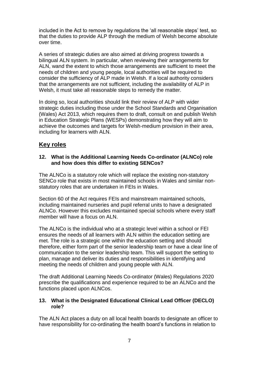included in the Act to remove by regulations the 'all reasonable steps' test, so that the duties to provide ALP through the medium of Welsh become absolute over time.

A series of strategic duties are also aimed at driving progress towards a bilingual ALN system. In particular, when reviewing their arrangements for ALN, wand the extent to which those arrangements are sufficient to meet the needs of children and young people, local authorities will be required to consider the sufficiency of ALP made in Welsh. If a local authority considers that the arrangements are not sufficient, including the availability of ALP in Welsh, it must take all reasonable steps to remedy the matter.

In doing so, local authorities should link their review of ALP with wider strategic duties including those under the School Standards and Organisation (Wales) Act 2013, which requires them to draft, consult on and publish Welsh in Education Strategic Plans (WESPs) demonstrating how they will aim to achieve the outcomes and targets for Welsh-medium provision in their area, including for learners with ALN.

# <span id="page-7-0"></span>**Key roles**

#### **12. What is the Additional Learning Needs Co-ordinator (ALNCo) role and how does this differ to existing SENCos?**

The ALNCo is a statutory role which will replace the existing non-statutory SENCo role that exists in most maintained schools in Wales and similar nonstatutory roles that are undertaken in FEIs in Wales.

Section 60 of the Act requires FEIs and mainstream maintained schools, including maintained nurseries and pupil referral units to have a designated ALNCo. However this excludes maintained special schools where every staff member will have a focus on ALN.

The ALNCo is the individual who at a strategic level within a school or FEI ensures the needs of all learners with ALN within the education setting are met. The role is a strategic one within the education setting and should therefore, either form part of the senior leadership team or have a clear line of communication to the senior leadership team. This will support the setting to plan, manage and deliver its duties and responsibilities in identifying and meeting the needs of children and young people with ALN.

The draft Additional Learning Needs Co-ordinator (Wales) Regulations 2020 prescribe the qualifications and experience required to be an ALNCo and the functions placed upon ALNCos.

#### **13. What is the Designated Educational Clinical Lead Officer (DECLO) role?**

The ALN Act places a duty on all local health boards to designate an officer to have responsibility for co-ordinating the health board's functions in relation to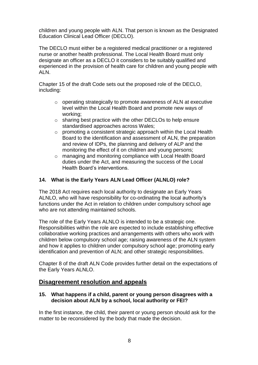children and young people with ALN. That person is known as the Designated Education Clinical Lead Officer (DECLO).

The DECLO must either be a registered medical practitioner or a registered nurse or another health professional. The Local Health Board must only designate an officer as a DECLO it considers to be suitably qualified and experienced in the provision of health care for children and young people with ALN.

Chapter 15 of the draft Code sets out the proposed role of the DECLO, including:

- o operating strategically to promote awareness of ALN at executive level within the Local Health Board and promote new ways of working;
- o sharing best practice with the other DECLOs to help ensure standardised approaches across Wales;
- o promoting a consistent strategic approach within the Local Health Board to the identification and assessment of ALN, the preparation and review of IDPs, the planning and delivery of ALP and the monitoring the effect of it on children and young persons;
- o managing and monitoring compliance with Local Health Board duties under the Act, and measuring the success of the Local Health Board's interventions.

## **14. What is the Early Years ALN Lead Officer (ALNLO) role?**

The 2018 Act requires each local authority to designate an Early Years ALNLO, who will have responsibility for co-ordinating the local authority's functions under the Act in relation to children under compulsory school age who are not attending maintained schools.

The role of the Early Years ALNLO is intended to be a strategic one. Responsibilities within the role are expected to include establishing effective collaborative working practices and arrangements with others who work with children below compulsory school age; raising awareness of the ALN system and how it applies to children under compulsory school age; promoting early identification and prevention of ALN; and other strategic responsibilities.

Chapter 8 of the draft ALN Code provides further detail on the expectations of the Early Years ALNLO.

## <span id="page-8-0"></span>**Disagreement resolution and appeals**

#### **15. What happens if a child, parent or young person disagrees with a decision about ALN by a school, local authority or FEI?**

In the first instance, the child, their parent or young person should ask for the matter to be reconsidered by the body that made the decision.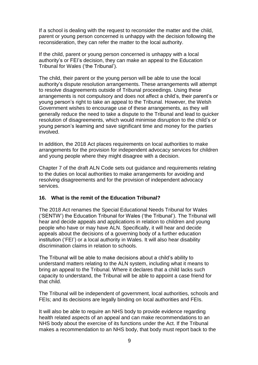If a school is dealing with the request to reconsider the matter and the child, parent or young person concerned is unhappy with the decision following the reconsideration, they can refer the matter to the local authority.

If the child, parent or young person concerned is unhappy with a local authority's or FEI's decision, they can make an appeal to the Education Tribunal for Wales ('the Tribunal').

The child, their parent or the young person will be able to use the local authority's dispute resolution arrangements. These arrangements will attempt to resolve disagreements outside of Tribunal proceedings. Using these arrangements is not compulsory and does not affect a child's, their parent's or young person's right to take an appeal to the Tribunal. However, the Welsh Government wishes to encourage use of these arrangements, as they will generally reduce the need to take a dispute to the Tribunal and lead to quicker resolution of disagreements, which would minimise disruption to the child's or young person's learning and save significant time and money for the parties involved.

In addition, the 2018 Act places requirements on local authorities to make arrangements for the provision for independent advocacy services for children and young people where they might disagree with a decision.

Chapter 7 of the draft ALN Code sets out guidance and requirements relating to the duties on local authorities to make arrangements for avoiding and resolving disagreements and for the provision of independent advocacy services.

#### **16. What is the remit of the Education Tribunal?**

The 2018 Act renames the Special Educational Needs Tribunal for Wales ('SENTW') the Education Tribunal for Wales ('the Tribunal'). The Tribunal will hear and decide appeals and applications in relation to children and young people who have or may have ALN. Specifically, it will hear and decide appeals about the decisions of a governing body of a further education institution ('FEI') or a local authority in Wales. It will also hear disability discrimination claims in relation to schools.

The Tribunal will be able to make decisions about a child's ability to understand matters relating to the ALN system, including what it means to bring an appeal to the Tribunal. Where it declares that a child lacks such capacity to understand, the Tribunal will be able to appoint a case friend for that child.

The Tribunal will be independent of government, local authorities, schools and FEIs; and its decisions are legally binding on local authorities and FEIs.

It will also be able to require an NHS body to provide evidence regarding health related aspects of an appeal and can make recommendations to an NHS body about the exercise of its functions under the Act. If the Tribunal makes a recommendation to an NHS body, that body must report back to the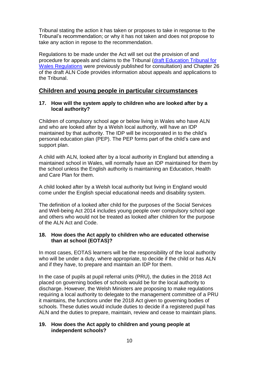Tribunal stating the action it has taken or proposes to take in response to the Tribunal's recommendation; or why it has not taken and does not propose to take any action in repose to the recommendation.

Regulations to be made under the Act will set out the provision of and procedure for appeals and claims to the Tribunal [\(draft Education Tribunal for](https://beta.gov.wales/draft-additional-learning-needs-code)  [Wales Regulations](https://beta.gov.wales/draft-additional-learning-needs-code) were previously published for consultation) and Chapter 26 of the draft ALN Code provides information about appeals and applications to the Tribunal.

## <span id="page-10-0"></span>**Children and young people in particular circumstances**

#### **17. How will the system apply to children who are looked after by a local authority?**

Children of compulsory school age or below living in Wales who have ALN and who are looked after by a Welsh local authority, will have an IDP maintained by that authority. The IDP will be incorporated in to the child's personal education plan (PEP). The PEP forms part of the child's care and support plan.

A child with ALN, looked after by a local authority in England but attending a maintained school in Wales, will normally have an IDP maintained for them by the school unless the English authority is maintaining an Education, Health and Care Plan for them.

A child looked after by a Welsh local authority but living in England would come under the English special educational needs and disability system.

The definition of a looked after child for the purposes of the Social Services and Well-being Act 2014 includes young people over compulsory school age and others who would not be treated as looked after children for the purpose of the ALN Act and Code.

#### **18. How does the Act apply to children who are educated otherwise than at school (EOTAS)?**

In most cases, EOTAS learners will be the responsibility of the local authority who will be under a duty, where appropriate, to decide if the child or has ALN and if they have, to prepare and maintain an IDP for them.

In the case of pupils at pupil referral units (PRU), the duties in the 2018 Act placed on governing bodies of schools would be for the local authority to discharge. However, the Welsh Ministers are proposing to make regulations requiring a local authority to delegate to the management committee of a PRU it maintains, the functions under the 2018 Act given to governing bodies of schools. These duties would include duties to decide if a registered pupil has ALN and the duties to prepare, maintain, review and cease to maintain plans.

#### **19. How does the Act apply to children and young people at independent schools?**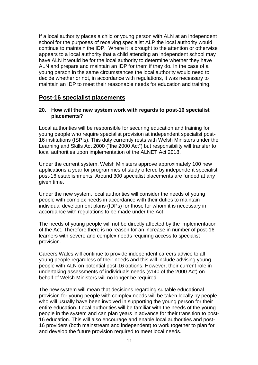If a local authority places a child or young person with ALN at an independent school for the purposes of receiving specialist ALP the local authority would continue to maintain the IDP. Where it is brought to the attention or otherwise appears to a local authority that a child attending an independent school may have ALN it would be for the local authority to determine whether they have ALN and prepare and maintain an IDP for them if they do. In the case of a young person in the same circumstances the local authority would need to decide whether or not, in accordance with regulations, it was necessary to maintain an IDP to meet their reasonable needs for education and training.

## <span id="page-11-0"></span>**Post-16 specialist placements**

#### **20. How will the new system work with regards to post-16 specialist placements?**

Local authorities will be responsible for securing education and training for young people who require specialist provision at independent specialist post-16 institutions (ISPIs). This duty currently rests with Welsh Ministers under the Learning and Skills Act 2000 ("the 2000 Act") but responsibility will transfer to local authorities upon implementation of the ALNET Act 2018.

Under the current system, Welsh Ministers approve approximately 100 new applications a year for programmes of study offered by independent specialist post-16 establishments. Around 300 specialist placements are funded at any given time.

Under the new system, local authorities will consider the needs of young people with complex needs in accordance with their duties to maintain individual development plans (IDPs) for those for whom it is necessary in accordance with regulations to be made under the Act.

The needs of young people will not be directly affected by the implementation of the Act. Therefore there is no reason for an increase in number of post-16 learners with severe and complex needs requiring access to specialist provision.

Careers Wales will continue to provide independent careers advice to all young people regardless of their needs and this will include advising young people with ALN on potential post-16 options. However, their current role in undertaking assessments of individuals needs (s140 of the 2000 Act) on behalf of Welsh Ministers will no longer be required.

The new system will mean that decisions regarding suitable educational provision for young people with complex needs will be taken locally by people who will usually have been involved in supporting the young person for their entire education. Local authorities will be familiar with the needs of the young people in the system and can plan years in advance for their transition to post-16 education. This will also encourage and enable local authorities and post-16 providers (both mainstream and independent) to work together to plan for and develop the future provision required to meet local needs.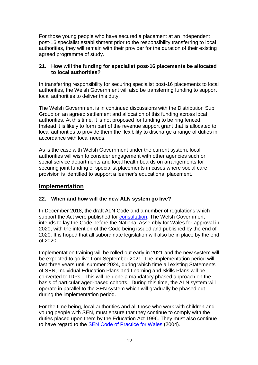For those young people who have secured a placement at an independent post-16 specialist establishment prior to the responsibility transferring to local authorities, they will remain with their provider for the duration of their existing agreed programme of study.

## **21. How will the funding for specialist post-16 placements be allocated to local authorities?**

In transferring responsibility for securing specialist post-16 placements to local authorities, the Welsh Government will also be transferring funding to support local authorities to deliver this duty.

The Welsh Government is in continued discussions with the Distribution Sub Group on an agreed settlement and allocation of this funding across local authorities. At this time, it is not proposed for funding to be ring fenced. Instead it is likely to form part of the revenue support grant that is allocated to local authorities to provide them the flexibility to discharge a range of duties in accordance with local needs.

As is the case with Welsh Government under the current system, local authorities will wish to consider engagement with other agencies such or social service departments and local health boards on arrangements for securing joint funding of specialist placements in cases where social care provision is identified to support a learner's educational placement.

# <span id="page-12-0"></span>**Implementation**

## **22. When and how will the new ALN system go live?**

In December 2018, the draft ALN Code and a number of regulations which support the Act were published for [consultation.](https://beta.gov.wales/draft-additional-learning-needs-code) The Welsh Government intends to lay the Code before the National Assembly for Wales for approval in 2020, with the intention of the Code being issued and published by the end of 2020. It is hoped that all subordinate legislation will also be in place by the end of 2020.

Implementation training will be rolled out early in 2021 and the new system will be expected to go live from September 2021. The implementation period will last three years until summer 2024, during which time all existing Statements of SEN, Individual Education Plans and Learning and Skills Plans will be converted to IDPs. This will be done a mandatory phased approach on the basis of particular aged-based cohorts. During this time, the ALN system will operate in parallel to the SEN system which will gradually be phased out during the implementation period.

For the time being, local authorities and all those who work with children and young people with SEN, must ensure that they continue to comply with the duties placed upon them by the Education Act 1996. They must also continue to have regard to the [SEN Code of Practice for Wales](gov.wales/docs/dcells/publications/131016-sen-codeof-practice-for-wales-en.pdf) (2004).